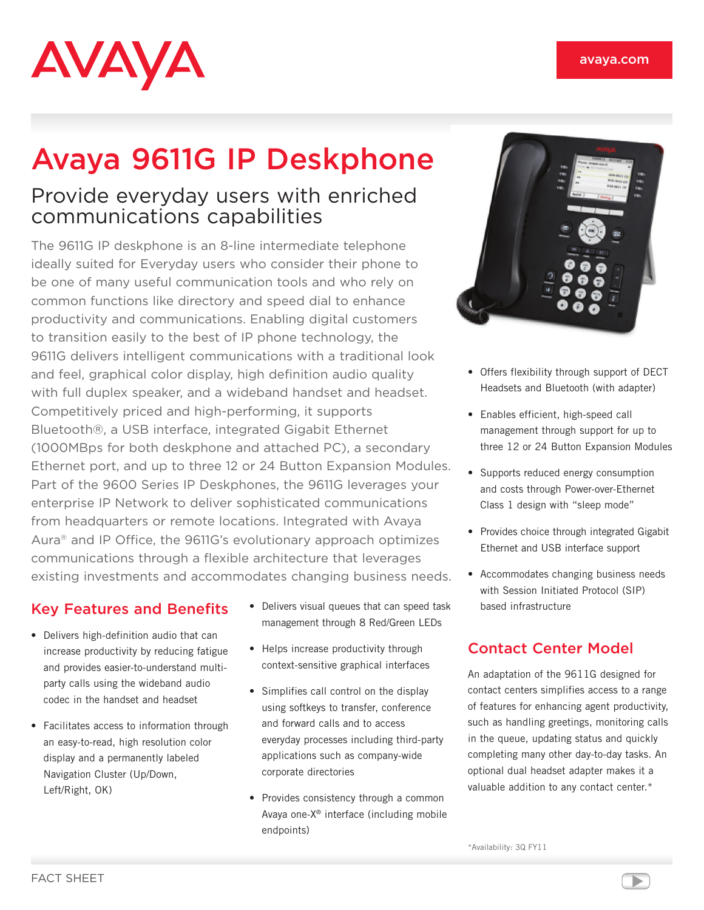# **AVAYA**

# Avaya 9611G IP Deskphone

# Provide everyday users with enriched communications capabilities

The 9611G IP deskphone is an 8-line intermediate telephone ideally suited for Everyday users who consider their phone to be one of many useful communication tools and who rely on common functions like directory and speed dial to enhance productivity and communications. Enabling digital customers to transition easily to the best of IP phone technology, the 9611G delivers intelligent communications with a traditional look and feel, graphical color display, high definition audio quality with full duplex speaker, and a wideband handset and headset. Competitively priced and high-performing, it supports Bluetooth®, a USB interface, integrated Gigabit Ethernet (1000MBps for both deskphone and attached PC), a secondary Ethernet port, and up to three 12 or 24 Button Expansion Modules. Part of the 9600 Series IP Deskphones, the 9611G leverages your enterprise IP Network to deliver sophisticated communications from headquarters or remote locations. Integrated with Avaya Aura® and IP Office, the 9611G's evolutionary approach optimizes communications through a flexible architecture that leverages existing investments and accommodates changing business needs.

## Key Features and Benefits

- Delivers high-definition audio that can increase productivity by reducing fatigue and provides easier-to-understand multiparty calls using the wideband audio codec in the handset and headset
- Facilitates access to information through an easy-to-read, high resolution color display and a permanently labeled Navigation Cluster (Up/Down, Left/Right, OK)
- Delivers visual queues that can speed task management through 8 Red/Green LEDs
- Helps increase productivity through context-sensitive graphical interfaces
- Simplifies call control on the display using softkeys to transfer, conference and forward calls and to access everyday processes including third-party applications such as company-wide corporate directories
- Provides consistency through a common Avaya one-X® interface (including mobile endpoints)



- Offers flexibility through support of DECT Headsets and Bluetooth (with adapter)
- Enables efficient, high-speed call management through support for up to three 12 or 24 Button Expansion Modules
- Supports reduced energy consumption and costs through Power-over-Ethernet Class 1 design with "sleep mode"
- Provides choice through integrated Gigabit Ethernet and USB interface support
- • Accommodates changing business needs with Session Initiated Protocol (SIP) based infrastructure

# Contact Center Model

An adaptation of the 9611G designed for contact centers simplifies access to a range of features for enhancing agent productivity, such as handling greetings, monitoring calls in the queue, updating status and quickly completing many other day-to-day tasks. An optional dual headset adapter makes it a valuable addition to any contact center.\*

\*Availability: 3Q FY11